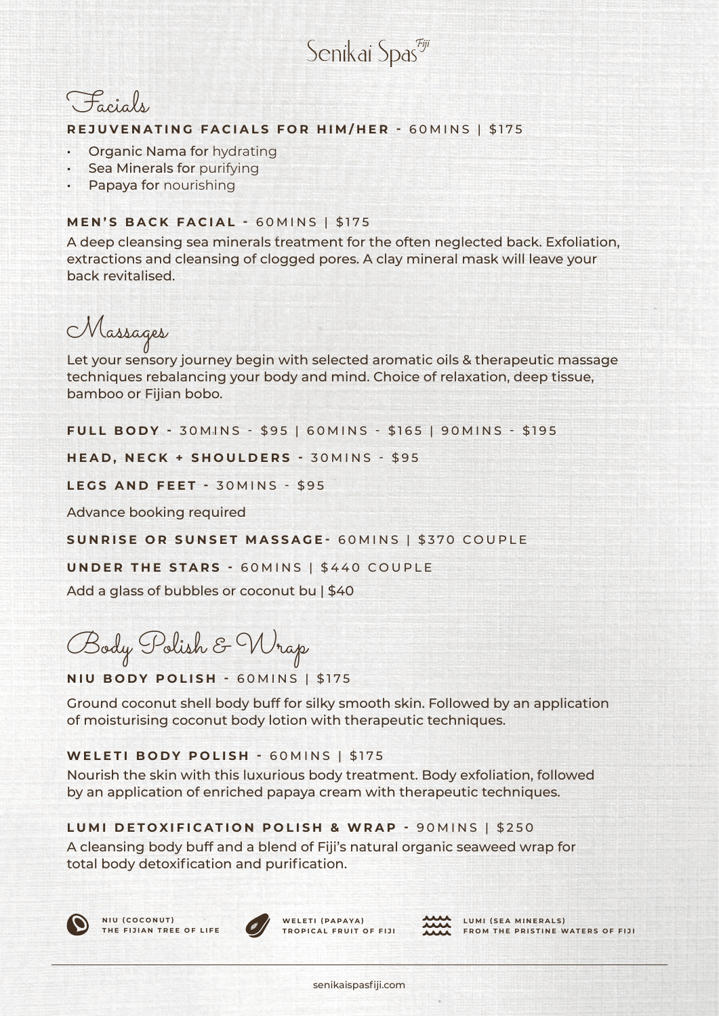Senikai Spas<sup>egij</sup>



## **REJUVENATING FACIALS FOR HIM/HER -** 60MINS | \$175

- Organic Nama for hydrating
- Sea Minerals for purifying
- Papaya for nourishing

# **MEN'S BACK FACIAL -** 60MINS | \$175

A deep cleansing sea minerals treatment for the often neglected back. Exfoliation, extractions and cleansing of clogged pores. A clay mineral mask will leave your back revitalised.

Massages

Let your sensory journey begin with selected aromatic oils & therapeutic massage techniques rebalancing your body and mind. Choice of relaxation, deep tissue, bamboo or Fijian bobo.

**FULL BODY - 30 MINS - \$95 | 60 MINS - \$165 | 90 MINS - \$195** 

**HEAD, NECK + SHOULDERS - 30MINS - \$95** 

**LEGS AND FEET -** 30MINS - \$95

Advance booking required

**SUNRISE OR SUNSET MASSAGE-** 60MINS | \$370 COUPLE

**UNDER THE STARS -** 60MINS | \$440 COUPLE

Add a glass of bubbles or coconut bu | \$40

Body Polish & Wrap

**NIU BODY POLISH -** 60MINS | \$175

Ground coconut shell body buff for silky smooth skin. Followed by an application of moisturising coconut body lotion with therapeutic techniques.

## **WELETI BODY POLISH -** 60MINS | \$175

Nourish the skin with this luxurious body treatment. Body exfoliation, followed by an application of enriched papaya cream with therapeutic techniques.

## **LUMI DETOXIFICATION POLISH & WRAP -** 90MINS | \$250

A cleansing body buff and a blend of Fiji's natural organic seaweed wrap for total body detoxification and purification.





WELETI (PAPAYA) **TROPICAL FRUIT OF FIJI**



LUMI (SEA MINERALS) **FROM THE PRISTINE WATERS OF FIJI**